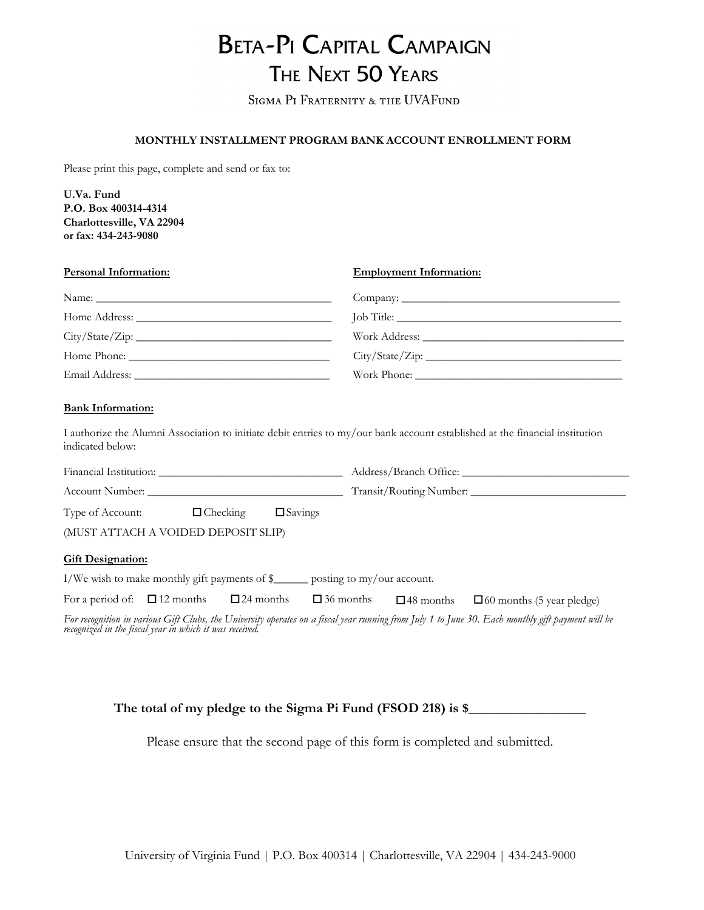# **BETA-PI CAPITAL CAMPAIGN** THE NEXT 50 YEARS

SIGMA PI FRATERNITY & THE UVAFUND

### **MONTHLY INSTALLMENT PROGRAM BANK ACCOUNT ENROLLMENT FORM**

Please print this page, complete and send or fax to:

**U.Va. Fund P.O. Box 400314-4314 Charlottesville, VA 22904 or fax: 434-243-9080**

| <b>Personal Information:</b> | <b>Employment Information:</b> |
|------------------------------|--------------------------------|
|                              |                                |
|                              |                                |
| City/State/Zip:              |                                |
|                              | City/State/Zip:                |
|                              |                                |

### **Bank Information:**

I authorize the Alumni Association to initiate debit entries to my/our bank account established at the financial institution indicated below:

| Financial Institution:                                      |                 |                   | Address/Branch Office:       |
|-------------------------------------------------------------|-----------------|-------------------|------------------------------|
| Account Number:                                             |                 |                   | Transit/Routing Number:      |
| Type of Account:                                            | $\Box$ Checking | $\square$ Savings |                              |
| (MUST ATTACH A VOIDED DEPOSIT SLIP)                         |                 |                   |                              |
| <b>Gift Designation:</b>                                    |                 |                   |                              |
| $I/W_e$ wish to make monthly oift payments of $\frac{1}{2}$ |                 |                   | posting to $mv/$ our account |

I/We wish to make monthly gift payments of \$\_\_\_\_\_\_ posting to my/our account.

| For a period of: $\Box$ 12 months $\Box$ 24 months $\Box$ 36 months $\Box$ 48 months $\Box$ 60 months (5 year pledge) |  |  |  |
|-----------------------------------------------------------------------------------------------------------------------|--|--|--|
|-----------------------------------------------------------------------------------------------------------------------|--|--|--|

*For recognition in various Gift Clubs, the University operates on a fiscal year running from July 1 to June 30. Each monthly gift payment will be recognized in the fiscal year in which it was received.* 

The total of my pledge to the Sigma Pi Fund (FSOD 218) is \$

Please ensure that the second page of this form is completed and submitted.